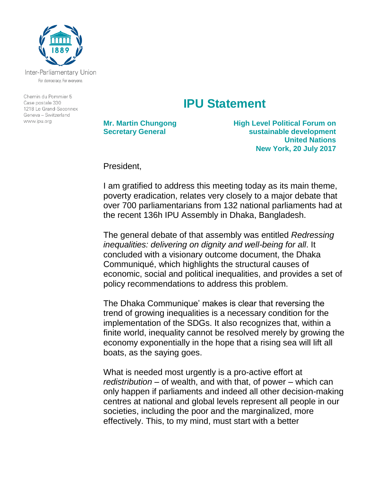

Inter-Parliamentary Union For democracy. For everyone.

Chemin du Pommier 5 Case postale 330 1218 Le Grand-Saconnex Geneva - Switzerland www.ipu.org

## **IPU Statement**

**Mr. Martin Chungong Secretary General**

**High Level Political Forum on sustainable development United Nations New York, 20 July 2017**

President,

I am gratified to address this meeting today as its main theme, poverty eradication, relates very closely to a major debate that over 700 parliamentarians from 132 national parliaments had at the recent 136h IPU Assembly in Dhaka, Bangladesh.

The general debate of that assembly was entitled *Redressing inequalities: delivering on dignity and well-being for all*. It concluded with a visionary outcome document, the Dhaka Communiqué, which highlights the structural causes of economic, social and political inequalities, and provides a set of policy recommendations to address this problem.

The Dhaka Communique' makes is clear that reversing the trend of growing inequalities is a necessary condition for the implementation of the SDGs. It also recognizes that, within a finite world, inequality cannot be resolved merely by growing the economy exponentially in the hope that a rising sea will lift all boats, as the saying goes.

What is needed most urgently is a pro-active effort at *redistribution* – of wealth, and with that, of power – which can only happen if parliaments and indeed all other decision-making centres at national and global levels represent all people in our societies, including the poor and the marginalized, more effectively. This, to my mind, must start with a better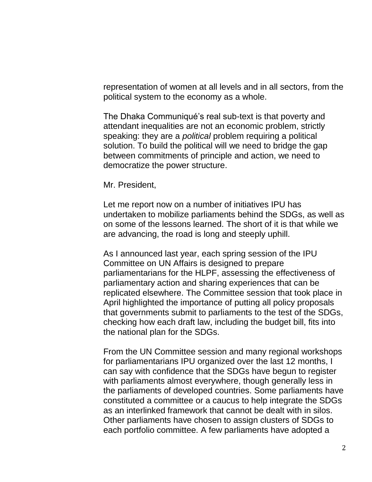representation of women at all levels and in all sectors, from the political system to the economy as a whole.

The Dhaka Communiqué's real sub-text is that poverty and attendant inequalities are not an economic problem, strictly speaking: they are a *political* problem requiring a political solution. To build the political will we need to bridge the gap between commitments of principle and action, we need to democratize the power structure.

Mr. President,

Let me report now on a number of initiatives IPU has undertaken to mobilize parliaments behind the SDGs, as well as on some of the lessons learned. The short of it is that while we are advancing, the road is long and steeply uphill.

As I announced last year, each spring session of the IPU Committee on UN Affairs is designed to prepare parliamentarians for the HLPF, assessing the effectiveness of parliamentary action and sharing experiences that can be replicated elsewhere. The Committee session that took place in April highlighted the importance of putting all policy proposals that governments submit to parliaments to the test of the SDGs, checking how each draft law, including the budget bill, fits into the national plan for the SDGs.

From the UN Committee session and many regional workshops for parliamentarians IPU organized over the last 12 months, I can say with confidence that the SDGs have begun to register with parliaments almost everywhere, though generally less in the parliaments of developed countries. Some parliaments have constituted a committee or a caucus to help integrate the SDGs as an interlinked framework that cannot be dealt with in silos. Other parliaments have chosen to assign clusters of SDGs to each portfolio committee. A few parliaments have adopted a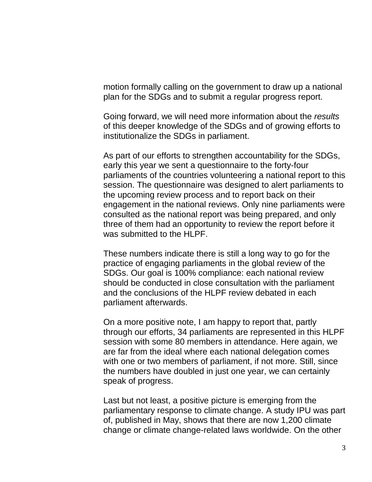motion formally calling on the government to draw up a national plan for the SDGs and to submit a regular progress report.

Going forward, we will need more information about the *results* of this deeper knowledge of the SDGs and of growing efforts to institutionalize the SDGs in parliament.

As part of our efforts to strengthen accountability for the SDGs, early this year we sent a questionnaire to the forty-four parliaments of the countries volunteering a national report to this session. The questionnaire was designed to alert parliaments to the upcoming review process and to report back on their engagement in the national reviews. Only nine parliaments were consulted as the national report was being prepared, and only three of them had an opportunity to review the report before it was submitted to the HLPF.

These numbers indicate there is still a long way to go for the practice of engaging parliaments in the global review of the SDGs. Our goal is 100% compliance: each national review should be conducted in close consultation with the parliament and the conclusions of the HLPF review debated in each parliament afterwards.

On a more positive note, I am happy to report that, partly through our efforts, 34 parliaments are represented in this HLPF session with some 80 members in attendance. Here again, we are far from the ideal where each national delegation comes with one or two members of parliament, if not more. Still, since the numbers have doubled in just one year, we can certainly speak of progress.

Last but not least, a positive picture is emerging from the parliamentary response to climate change. A study IPU was part of, published in May, shows that there are now 1,200 climate change or climate change-related laws worldwide. On the other